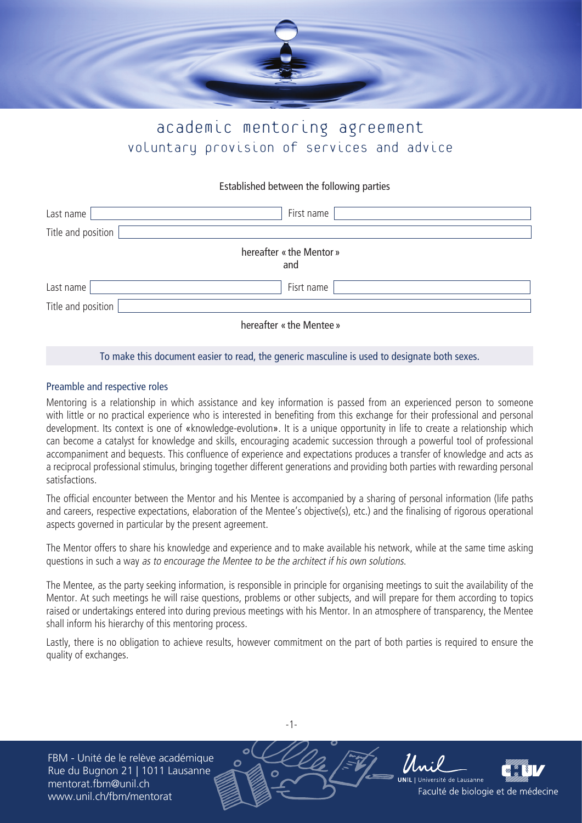

# academic mentoring agreement voluntary provision of services and advice

# Established between the following parties

| Last name          | First name                      |
|--------------------|---------------------------------|
| Title and position |                                 |
|                    | hereafter « the Mentor »<br>and |
| Last name          | Fisrt name                      |
| Title and position |                                 |
|                    | hereafter « the Mentee »        |

### To make this document easier to read, the generic masculine is used to designate both sexes.

# Preamble and respective roles

Mentoring is a relationship in which assistance and key information is passed from an experienced person to someone with little or no practical experience who is interested in benefiting from this exchange for their professional and personal development. Its context is one of «knowledge-evolution». It is a unique opportunity in life to create a relationship which can become a catalyst for knowledge and skills, encouraging academic succession through a powerful tool of professional accompaniment and bequests. This confluence of experience and expectations produces a transfer of knowledge and acts as a reciprocal professional stimulus, bringing together different generations and providing both parties with rewarding personal satisfactions.

The official encounter between the Mentor and his Mentee is accompanied by a sharing of personal information (life paths and careers, respective expectations, elaboration of the Mentee's objective(s), etc.) and the finalising of rigorous operational aspects governed in particular by the present agreement.

The Mentor offers to share his knowledge and experience and to make available his network, while at the same time asking questions in such a way as to encourage the Mentee to be the architect if his own solutions.

The Mentee, as the party seeking information, is responsible in principle for organising meetings to suit the availability of the Mentor. At such meetings he will raise questions, problems or other subjects, and will prepare for them according to topics raised or undertakings entered into during previous meetings with his Mentor. In an atmosphere of transparency, the Mentee shall inform his hierarchy of this mentoring process.

Lastly, there is no obligation to achieve results, however commitment on the part of both parties is required to ensure the quality of exchanges.

FBM - Unité de le relève académique Rue du Bugnon 21 | 1011 Lausanne mentorat.fbm@unil.ch www.unil.ch/fbm/mentorat



-1-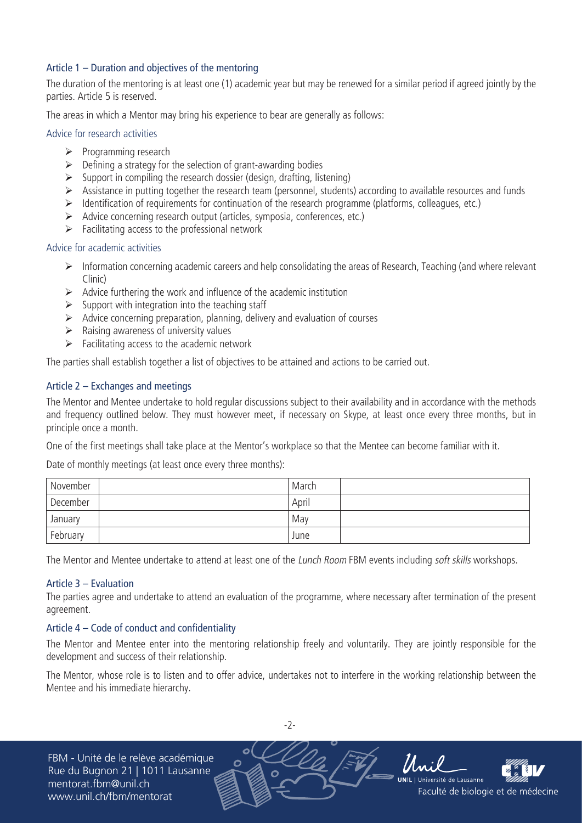# Article 1 – Duration and objectives of the mentoring

The duration of the mentoring is at least one (1) academic year but may be renewed for a similar period if agreed jointly by the parties. Article 5 is reserved.

The areas in which a Mentor may bring his experience to bear are generally as follows:

### Advice for research activities

- $\triangleright$  Programming research
- $\triangleright$  Defining a strategy for the selection of grant-awarding bodies
- $\triangleright$  Support in compiling the research dossier (design, drafting, listening)
- $\triangleright$  Assistance in putting together the research team (personnel, students) according to available resources and funds
- ¾ Identification of requirements for continuation of the research programme (platforms, colleagues, etc.)
- ¾ Advice concerning research output (articles, symposia, conferences, etc.)
- $\triangleright$  Facilitating access to the professional network

### Advice for academic activities

- ¾ Information concerning academic careers and help consolidating the areas of Research, Teaching (and where relevant Clinic)
- $\triangleright$  Advice furthering the work and influence of the academic institution
- $\triangleright$  Support with integration into the teaching staff
- $\triangleright$  Advice concerning preparation, planning, delivery and evaluation of courses
- $\triangleright$  Raising awareness of university values
- $\triangleright$  Facilitating access to the academic network

The parties shall establish together a list of objectives to be attained and actions to be carried out.

# Article 2 – Exchanges and meetings

The Mentor and Mentee undertake to hold regular discussions subject to their availability and in accordance with the methods and frequency outlined below. They must however meet, if necessary on Skype, at least once every three months, but in principle once a month.

One of the first meetings shall take place at the Mentor's workplace so that the Mentee can become familiar with it.

Date of monthly meetings (at least once every three months):

| November | March |
|----------|-------|
| December | April |
| January  | May   |
| February | June  |

The Mentor and Mentee undertake to attend at least one of the *Lunch Room* FBM events including *soft skills* workshops.

#### Article 3 – Evaluation

The parties agree and undertake to attend an evaluation of the programme, where necessary after termination of the present agreement.

# Article 4 – Code of conduct and confidentiality

The Mentor and Mentee enter into the mentoring relationship freely and voluntarily. They are jointly responsible for the development and success of their relationship.

The Mentor, whose role is to listen and to offer advice, undertakes not to interfere in the working relationship between the Mentee and his immediate hierarchy.